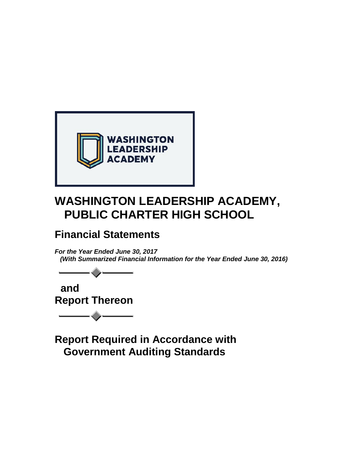

# **Financial Statements**

*For the Year Ended June 30, 2017 (With Summarized Financial Information for the Year Ended June 30, 2016)*

 **and Report Thereon**

**Report Required in Accordance with Government Auditing Standards**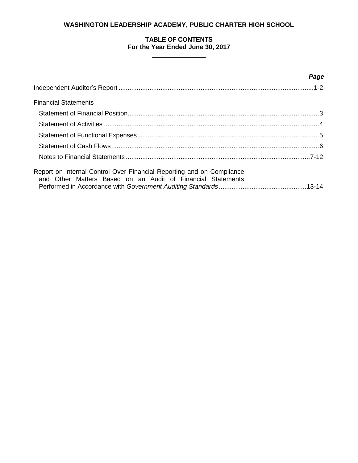## **TABLE OF CONTENTS For the Year Ended June 30, 2017**

 $\frac{1}{2}$  , and the set of the set of the set of the set of the set of the set of the set of the set of the set of the set of the set of the set of the set of the set of the set of the set of the set of the set of the set

|                                                                                                                                      | Page |
|--------------------------------------------------------------------------------------------------------------------------------------|------|
|                                                                                                                                      |      |
| <b>Financial Statements</b>                                                                                                          |      |
|                                                                                                                                      |      |
|                                                                                                                                      |      |
|                                                                                                                                      |      |
|                                                                                                                                      |      |
|                                                                                                                                      |      |
| Report on Internal Control Over Financial Reporting and on Compliance<br>and Other Matters Based on an Audit of Financial Statements |      |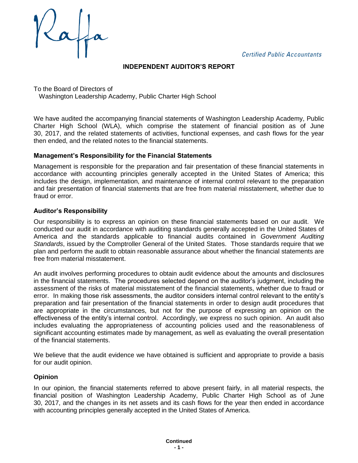## **INDEPENDENT AUDITOR'S REPORT**

To the Board of Directors of Washington Leadership Academy, Public Charter High School

We have audited the accompanying financial statements of Washington Leadership Academy, Public Charter High School (WLA), which comprise the statement of financial position as of June 30, 2017, and the related statements of activities, functional expenses, and cash flows for the year then ended, and the related notes to the financial statements.

## **Management's Responsibility for the Financial Statements**

Management is responsible for the preparation and fair presentation of these financial statements in accordance with accounting principles generally accepted in the United States of America; this includes the design, implementation, and maintenance of internal control relevant to the preparation and fair presentation of financial statements that are free from material misstatement, whether due to fraud or error.

## **Auditor's Responsibility**

Our responsibility is to express an opinion on these financial statements based on our audit. We conducted our audit in accordance with auditing standards generally accepted in the United States of America and the standards applicable to financial audits contained in *Government Auditing Standards*, issued by the Comptroller General of the United States. Those standards require that we plan and perform the audit to obtain reasonable assurance about whether the financial statements are free from material misstatement.

An audit involves performing procedures to obtain audit evidence about the amounts and disclosures in the financial statements. The procedures selected depend on the auditor's judgment, including the assessment of the risks of material misstatement of the financial statements, whether due to fraud or error. In making those risk assessments, the auditor considers internal control relevant to the entity's preparation and fair presentation of the financial statements in order to design audit procedures that are appropriate in the circumstances, but not for the purpose of expressing an opinion on the effectiveness of the entity's internal control. Accordingly, we express no such opinion. An audit also includes evaluating the appropriateness of accounting policies used and the reasonableness of significant accounting estimates made by management, as well as evaluating the overall presentation of the financial statements.

We believe that the audit evidence we have obtained is sufficient and appropriate to provide a basis for our audit opinion.

## **Opinion**

In our opinion, the financial statements referred to above present fairly, in all material respects, the financial position of Washington Leadership Academy, Public Charter High School as of June 30, 2017, and the changes in its net assets and its cash flows for the year then ended in accordance with accounting principles generally accepted in the United States of America.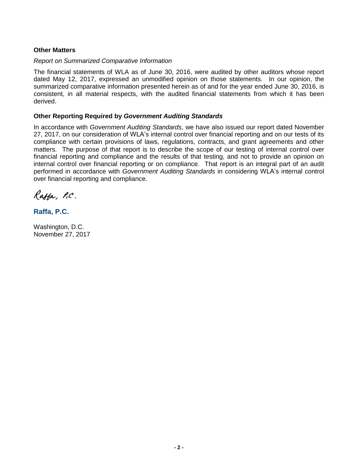## **Other Matters**

## *Report on Summarized Comparative Information*

The financial statements of WLA as of June 30, 2016, were audited by other auditors whose report dated May 12, 2017, expressed an unmodified opinion on those statements. In our opinion, the summarized comparative information presented herein as of and for the year ended June 30, 2016, is consistent, in all material respects, with the audited financial statements from which it has been derived.

## **Other Reporting Required by** *Government Auditing Standards*

In accordance with *Government Auditing Standards*, we have also issued our report dated November 27, 2017, on our consideration of WLA's internal control over financial reporting and on our tests of its compliance with certain provisions of laws, regulations, contracts, and grant agreements and other matters. The purpose of that report is to describe the scope of our testing of internal control over financial reporting and compliance and the results of that testing, and not to provide an opinion on internal control over financial reporting or on compliance. That report is an integral part of an audit performed in accordance with *Government Auditing Standards* in considering WLA's internal control over financial reporting and compliance.

Raffa, P.C.

## **Raffa, P.C.**

Washington, D.C. November 27, 2017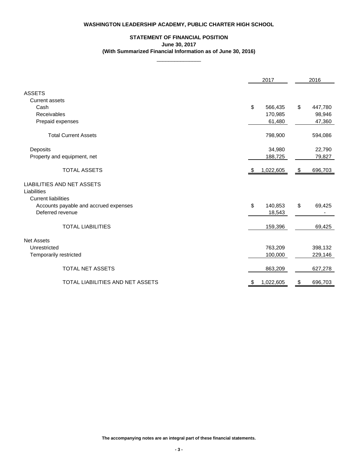#### **STATEMENT OF FINANCIAL POSITION June 30, 2017 (With Summarized Financial Information as of June 30, 2016)**

\_\_\_\_\_\_\_\_\_\_\_\_\_\_\_

|                                                  |               | 2017      | 2016          |
|--------------------------------------------------|---------------|-----------|---------------|
| <b>ASSETS</b>                                    |               |           |               |
| <b>Current assets</b>                            |               |           |               |
| Cash                                             | \$            | 566,435   | \$<br>447,780 |
| Receivables                                      |               | 170,985   | 98,946        |
| Prepaid expenses                                 |               | 61,480    | 47,360        |
| <b>Total Current Assets</b>                      |               | 798,900   | 594,086       |
| Deposits                                         |               | 34,980    | 22,790        |
| Property and equipment, net                      |               | 188,725   | 79,827        |
| <b>TOTAL ASSETS</b>                              | \$            | 1,022,605 | \$<br>696,703 |
| <b>LIABILITIES AND NET ASSETS</b><br>Liabilities |               |           |               |
| <b>Current liabilities</b>                       |               |           |               |
| Accounts payable and accrued expenses            | \$            | 140,853   | \$<br>69,425  |
| Deferred revenue                                 |               | 18,543    |               |
| <b>TOTAL LIABILITIES</b>                         |               | 159,396   | 69,425        |
| <b>Net Assets</b>                                |               |           |               |
| Unrestricted                                     |               | 763,209   | 398,132       |
| Temporarily restricted                           |               | 100,000   | 229,146       |
| <b>TOTAL NET ASSETS</b>                          |               | 863,209   | 627,278       |
| TOTAL LIABILITIES AND NET ASSETS                 | $\frac{1}{2}$ | 1,022,605 | \$<br>696,703 |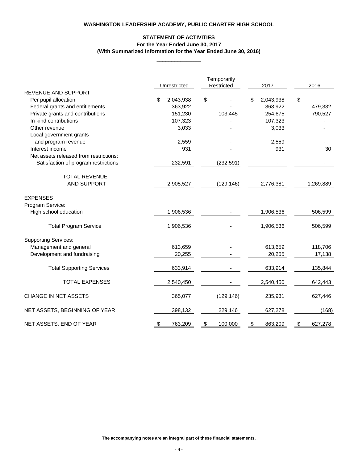#### **STATEMENT OF ACTIVITIES For the Year Ended June 30, 2017 (With Summarized Information for the Year Ended June 30, 2016)**

\_\_\_\_\_\_\_\_\_\_\_\_\_\_\_

|                                        | Unrestricted             | Temporarily<br>Restricted | 2017            | 2016                     |
|----------------------------------------|--------------------------|---------------------------|-----------------|--------------------------|
| REVENUE AND SUPPORT                    |                          |                           |                 |                          |
| Per pupil allocation                   | \$<br>2,043,938          | \$                        | \$<br>2,043,938 | \$                       |
| Federal grants and entitlements        | 363,922                  |                           | 363,922         | 479,332                  |
| Private grants and contributions       | 151,230                  | 103,445                   | 254,675         | 790,527                  |
| In-kind contributions                  | 107,323                  |                           | 107,323         |                          |
| Other revenue                          | 3,033                    |                           | 3,033           |                          |
| Local government grants                |                          |                           |                 |                          |
| and program revenue                    | 2,559                    |                           | 2,559           |                          |
| Interest income                        | 931                      |                           | 931             | 30                       |
| Net assets released from restrictions: |                          |                           |                 |                          |
| Satisfaction of program restrictions   | 232,591                  | (232, 591)                |                 |                          |
| <b>TOTAL REVENUE</b>                   |                          |                           |                 |                          |
| AND SUPPORT                            | 2,905,527                | (129, 146)                | 2,776,381       | 1,269,889                |
| <b>EXPENSES</b>                        |                          |                           |                 |                          |
| Program Service:                       |                          |                           |                 |                          |
| High school education                  | 1,906,536                |                           | 1,906,536       | 506,599                  |
| <b>Total Program Service</b>           | 1,906,536                |                           | 1,906,536       | 506,599                  |
| <b>Supporting Services:</b>            |                          |                           |                 |                          |
| Management and general                 | 613,659                  |                           | 613,659         | 118,706                  |
| Development and fundraising            | 20,255                   |                           | 20,255          | 17,138                   |
| <b>Total Supporting Services</b>       | 633,914                  |                           | 633,914         | 135,844                  |
| <b>TOTAL EXPENSES</b>                  | 2,540,450                |                           | 2,540,450       | 642,443                  |
| CHANGE IN NET ASSETS                   | 365,077                  | (129, 146)                | 235,931         | 627,446                  |
| NET ASSETS, BEGINNING OF YEAR          | 398,132                  | 229,146                   | 627,278         | (168)                    |
| NET ASSETS, END OF YEAR                | 763,209<br>$\frac{3}{2}$ | 100,000<br>\$             | 863,209<br>\$   | $\frac{1}{2}$<br>627,278 |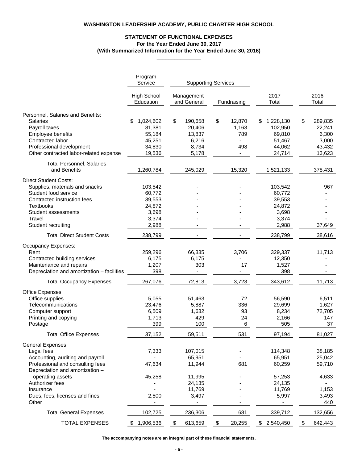#### **STATEMENT OF FUNCTIONAL EXPENSES For the Year Ended June 30, 2017 (With Summarized Information for the Year Ended June 30, 2016)**

\_\_\_\_\_\_\_\_\_\_\_\_\_\_\_

|                                            | Program<br>Service              |                           | <b>Supporting Services</b> |                 |               |
|--------------------------------------------|---------------------------------|---------------------------|----------------------------|-----------------|---------------|
|                                            | <b>High School</b><br>Education | Management<br>and General | Fundraising                | 2017<br>Total   | 2016<br>Total |
| Personnel, Salaries and Benefits:          |                                 |                           |                            |                 |               |
| <b>Salaries</b>                            | 1,024,602<br>\$                 | \$<br>190,658             | \$<br>12,870               | 1,228,130<br>\$ | \$<br>289,835 |
| Payroll taxes                              | 81,381                          | 20,406                    | 1,163                      | 102,950         | 22,241        |
| Employee benefits                          | 55,184                          | 13,837                    | 789                        | 69,810          | 6,300         |
| Contracted labor                           | 45,251                          | 6,216                     | $\overline{\phantom{a}}$   | 51,467          | 3,000         |
| Professional development                   | 34,830                          | 8,734                     | 498                        | 44,062          | 43,432        |
| Other contracted labor-related expense     | 19,536                          | 5,178                     |                            | 24,714          | 13,623        |
| <b>Total Personnel, Salaries</b>           |                                 |                           |                            |                 |               |
| and Benefits                               | 1,260,784                       | 245,029                   | 15,320                     | 1,521,133       | 378,431       |
| <b>Direct Student Costs:</b>               |                                 |                           |                            |                 |               |
| Supplies, materials and snacks             | 103,542                         |                           |                            | 103,542         | 967           |
| Student food service                       | 60,772                          |                           |                            | 60,772          |               |
| Contracted instruction fees                | 39,553                          |                           |                            | 39,553          |               |
| <b>Textbooks</b>                           | 24,872                          |                           |                            | 24,872          |               |
| Student assessments                        | 3,698                           |                           |                            | 3,698           |               |
| Travel                                     | 3,374                           |                           |                            | 3,374           |               |
| Student recruiting                         | 2,988                           |                           |                            | 2,988           | 37,649        |
| <b>Total Direct Student Costs</b>          | 238,799                         |                           |                            | 238,799         | 38,616        |
| <b>Occupancy Expenses:</b>                 |                                 |                           |                            |                 |               |
| Rent                                       | 259,296                         | 66,335                    | 3,706                      | 329,337         | 11,713        |
| Contracted building services               | 6,175                           | 6,175                     |                            | 12,350          |               |
| Maintenance and repairs                    | 1,207                           | 303                       | 17                         | 1,527           |               |
| Depreciation and amortization - facilities | 398                             | $\blacksquare$            |                            | 398             |               |
| <b>Total Occupancy Expenses</b>            | 267,076                         | 72,813                    | 3,723                      | 343,612         | 11,713        |
| Office Expenses:                           |                                 |                           |                            |                 |               |
| Office supplies                            | 5,055                           | 51,463                    | 72                         | 56,590          | 6,511         |
| Telecommunications                         | 23,476                          | 5,887                     | 336                        | 29,699          | 1,627         |
| Computer support                           | 6,509                           | 1,632                     | 93                         | 8,234           | 72,705        |
| Printing and copying                       | 1,713                           | 429                       | 24                         | 2,166           | 147           |
| Postage                                    | 399                             | 100                       | 6                          | 505             | 37            |
| <b>Total Office Expenses</b>               | 37,152                          | 59,511                    | 531                        | 97,194          | 81,027        |
| General Expenses:                          |                                 |                           |                            |                 |               |
| Legal fees                                 | 7,333                           | 107,015                   |                            | 114,348         | 38,185        |
| Accounting, auditing and payroll           |                                 | 65,951                    |                            | 65,951          | 25,042        |
| Professional and consulting fees           | 47,634                          | 11,944                    | 681                        | 60,259          | 59,710        |
| Depreciation and amortization -            |                                 |                           |                            |                 |               |
| operating assets                           | 45,258                          | 11,995                    |                            | 57,253          | 4,633         |
| Authorizer fees                            |                                 | 24,135                    |                            | 24,135          |               |
| Insurance                                  |                                 | 11,769                    |                            | 11,769          | 1,153         |
| Dues, fees, licenses and fines<br>Other    | 2,500                           | 3,497                     |                            | 5,997           | 3,493<br>440  |
|                                            |                                 |                           |                            |                 |               |
| <b>Total General Expenses</b>              | 102,725                         | 236,306                   | 681                        | 339,712         | 132,656       |
| <b>TOTAL EXPENSES</b>                      | 1,906,536                       | 613,659<br>\$             | 20,255<br>$\frac{3}{2}$    | \$2,540,450     | 642,443<br>\$ |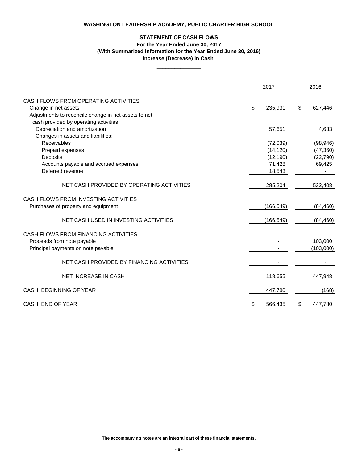#### **Increase (Decrease) in Cash (With Summarized Information for the Year Ended June 30, 2016) For the Year Ended June 30, 2017 STATEMENT OF CASH FLOWS**

\_\_\_\_\_\_\_\_\_\_\_\_\_\_\_

|                                                      | 2017          | 2016           |
|------------------------------------------------------|---------------|----------------|
| CASH FLOWS FROM OPERATING ACTIVITIES                 |               |                |
| Change in net assets                                 | \$<br>235,931 | \$<br>627,446  |
| Adjustments to reconcile change in net assets to net |               |                |
| cash provided by operating activities:               |               |                |
| Depreciation and amortization                        | 57,651        | 4,633          |
| Changes in assets and liabilities:                   |               |                |
| Receivables                                          | (72,039)      | (98, 946)      |
| Prepaid expenses                                     | (14, 120)     | (47, 360)      |
| Deposits                                             | (12, 190)     | (22, 790)      |
| Accounts payable and accrued expenses                | 71,428        | 69,425         |
| Deferred revenue                                     | 18,543        | $\blacksquare$ |
|                                                      |               |                |
| NET CASH PROVIDED BY OPERATING ACTIVITIES            | 285,204       | 532,408        |
| CASH FLOWS FROM INVESTING ACTIVITIES                 |               |                |
| Purchases of property and equipment                  | (166, 549)    | (84, 460)      |
| NET CASH USED IN INVESTING ACTIVITIES                | (166, 549)    | (84, 460)      |
| CASH FLOWS FROM FINANCING ACTIVITIES                 |               |                |
| Proceeds from note payable                           |               | 103,000        |
| Principal payments on note payable                   |               | (103,000)      |
|                                                      |               |                |
| NET CASH PROVIDED BY FINANCING ACTIVITIES            |               |                |
| <b>NET INCREASE IN CASH</b>                          | 118,655       | 447,948        |
| CASH, BEGINNING OF YEAR                              | 447,780       | (168)          |
| CASH, END OF YEAR                                    | \$<br>566,435 | \$<br>447,780  |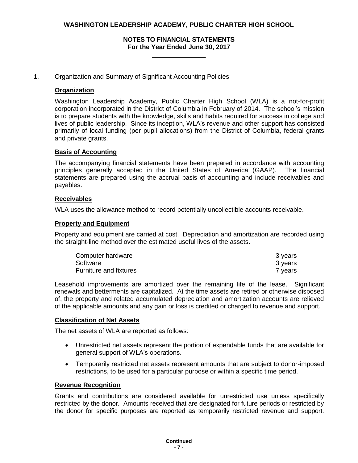## **NOTES TO FINANCIAL STATEMENTS For the Year Ended June 30, 2017**

\_\_\_\_\_\_\_\_\_\_\_\_\_\_\_

#### 1. Organization and Summary of Significant Accounting Policies

## **Organization**

Washington Leadership Academy, Public Charter High School (WLA) is a not-for-profit corporation incorporated in the District of Columbia in February of 2014. The school's mission is to prepare students with the knowledge, skills and habits required for success in college and lives of public leadership. Since its inception, WLA's revenue and other support has consisted primarily of local funding (per pupil allocations) from the District of Columbia, federal grants and private grants.

## **Basis of Accounting**

The accompanying financial statements have been prepared in accordance with accounting principles generally accepted in the United States of America (GAAP). The financial statements are prepared using the accrual basis of accounting and include receivables and payables.

#### **Receivables**

WLA uses the allowance method to record potentially uncollectible accounts receivable.

## **Property and Equipment**

Property and equipment are carried at cost. Depreciation and amortization are recorded using the straight-line method over the estimated useful lives of the assets.

| Computer hardware      | 3 years |
|------------------------|---------|
| Software               | 3 years |
| Furniture and fixtures | 7 vears |

Leasehold improvements are amortized over the remaining life of the lease. Significant renewals and betterments are capitalized. At the time assets are retired or otherwise disposed of, the property and related accumulated depreciation and amortization accounts are relieved of the applicable amounts and any gain or loss is credited or charged to revenue and support.

#### **Classification of Net Assets**

The net assets of WLA are reported as follows:

- Unrestricted net assets represent the portion of expendable funds that are available for general support of WLA's operations.
- Temporarily restricted net assets represent amounts that are subject to donor-imposed restrictions, to be used for a particular purpose or within a specific time period.

#### **Revenue Recognition**

Grants and contributions are considered available for unrestricted use unless specifically restricted by the donor. Amounts received that are designated for future periods or restricted by the donor for specific purposes are reported as temporarily restricted revenue and support.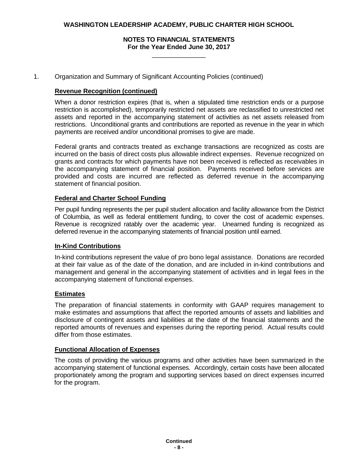## **NOTES TO FINANCIAL STATEMENTS For the Year Ended June 30, 2017**

\_\_\_\_\_\_\_\_\_\_\_\_\_\_\_

1. Organization and Summary of Significant Accounting Policies (continued)

## **Revenue Recognition (continued)**

When a donor restriction expires (that is, when a stipulated time restriction ends or a purpose restriction is accomplished), temporarily restricted net assets are reclassified to unrestricted net assets and reported in the accompanying statement of activities as net assets released from restrictions. Unconditional grants and contributions are reported as revenue in the year in which payments are received and/or unconditional promises to give are made.

Federal grants and contracts treated as exchange transactions are recognized as costs are incurred on the basis of direct costs plus allowable indirect expenses. Revenue recognized on grants and contracts for which payments have not been received is reflected as receivables in the accompanying statement of financial position. Payments received before services are provided and costs are incurred are reflected as deferred revenue in the accompanying statement of financial position.

## **Federal and Charter School Funding**

Per pupil funding represents the per pupil student allocation and facility allowance from the District of Columbia, as well as federal entitlement funding, to cover the cost of academic expenses. Revenue is recognized ratably over the academic year. Unearned funding is recognized as deferred revenue in the accompanying statements of financial position until earned.

#### **In-Kind Contributions**

In-kind contributions represent the value of pro bono legal assistance. Donations are recorded at their fair value as of the date of the donation, and are included in in-kind contributions and management and general in the accompanying statement of activities and in legal fees in the accompanying statement of functional expenses.

#### **Estimates**

The preparation of financial statements in conformity with GAAP requires management to make estimates and assumptions that affect the reported amounts of assets and liabilities and disclosure of contingent assets and liabilities at the date of the financial statements and the reported amounts of revenues and expenses during the reporting period. Actual results could differ from those estimates.

#### **Functional Allocation of Expenses**

The costs of providing the various programs and other activities have been summarized in the accompanying statement of functional expenses. Accordingly, certain costs have been allocated proportionately among the program and supporting services based on direct expenses incurred for the program.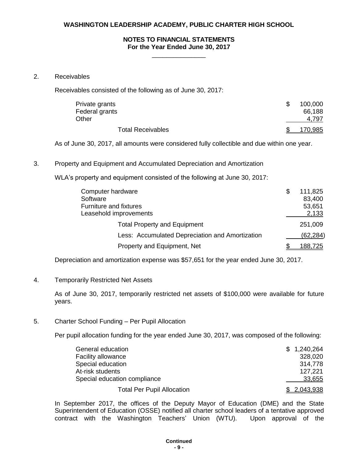## **NOTES TO FINANCIAL STATEMENTS For the Year Ended June 30, 2017** \_\_\_\_\_\_\_\_\_\_\_\_\_\_\_

#### 2. Receivables

Receivables consisted of the following as of June 30, 2017:

| Private grants<br>Federal grants<br>Other | 100,000<br>66,188<br>4,797 |
|-------------------------------------------|----------------------------|
| <b>Total Receivables</b>                  | 170,985                    |

As of June 30, 2017, all amounts were considered fully collectible and due within one year.

#### 3. Property and Equipment and Accumulated Depreciation and Amortization

WLA's property and equipment consisted of the following at June 30, 2017:

| Computer hardware                               | 111,825   |
|-------------------------------------------------|-----------|
| Software                                        | 83,400    |
| <b>Furniture and fixtures</b>                   | 53,651    |
| Leasehold improvements                          | 2,133     |
| <b>Total Property and Equipment</b>             | 251,009   |
| Less: Accumulated Depreciation and Amortization | (62, 284) |
| Property and Equipment, Net                     | 188,725   |

Depreciation and amortization expense was \$57,651 for the year ended June 30, 2017.

4. Temporarily Restricted Net Assets

As of June 30, 2017, temporarily restricted net assets of \$100,000 were available for future years.

5. Charter School Funding – Per Pupil Allocation

Per pupil allocation funding for the year ended June 30, 2017, was composed of the following:

| General education                 | \$1,240,264 |
|-----------------------------------|-------------|
| <b>Facility allowance</b>         | 328,020     |
| Special education                 | 314,778     |
| At-risk students                  | 127.221     |
| Special education compliance      | 33,655      |
| <b>Total Per Pupil Allocation</b> | \$2,043,938 |

In September 2017, the offices of the Deputy Mayor of Education (DME) and the State Superintendent of Education (OSSE) notified all charter school leaders of a tentative approved contract with the Washington Teachers' Union (WTU). Upon approval of the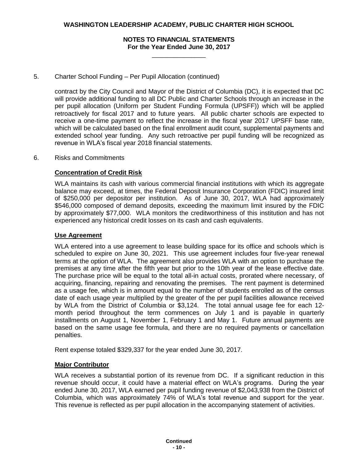## **NOTES TO FINANCIAL STATEMENTS For the Year Ended June 30, 2017**

\_\_\_\_\_\_\_\_\_\_\_\_\_\_\_

## 5. Charter School Funding – Per Pupil Allocation (continued)

contract by the City Council and Mayor of the District of Columbia (DC), it is expected that DC will provide additional funding to all DC Public and Charter Schools through an increase in the per pupil allocation (Uniform per Student Funding Formula (UPSFF)) which will be applied retroactively for fiscal 2017 and to future years. All public charter schools are expected to receive a one-time payment to reflect the increase in the fiscal year 2017 UPSFF base rate, which will be calculated based on the final enrollment audit count, supplemental payments and extended school year funding. Any such retroactive per pupil funding will be recognized as revenue in WLA's fiscal year 2018 financial statements.

#### 6. Risks and Commitments

#### **Concentration of Credit Risk**

WLA maintains its cash with various commercial financial institutions with which its aggregate balance may exceed, at times, the Federal Deposit Insurance Corporation (FDIC) insured limit of \$250,000 per depositor per institution. As of June 30, 2017, WLA had approximately \$546,000 composed of demand deposits, exceeding the maximum limit insured by the FDIC by approximately \$77,000. WLA monitors the creditworthiness of this institution and has not experienced any historical credit losses on its cash and cash equivalents.

#### **Use Agreement**

WLA entered into a use agreement to lease building space for its office and schools which is scheduled to expire on June 30, 2021. This use agreement includes four five-year renewal terms at the option of WLA. The agreement also provides WLA with an option to purchase the premises at any time after the fifth year but prior to the 10th year of the lease effective date. The purchase price will be equal to the total all-in actual costs, prorated where necessary, of acquiring, financing, repairing and renovating the premises. The rent payment is determined as a usage fee, which is in amount equal to the number of students enrolled as of the census date of each usage year multiplied by the greater of the per pupil facilities allowance received by WLA from the District of Columbia or \$3,124. The total annual usage fee for each 12month period throughout the term commences on July 1 and is payable in quarterly installments on August 1, November 1, February 1 and May 1. Future annual payments are based on the same usage fee formula, and there are no required payments or cancellation penalties.

Rent expense totaled \$329,337 for the year ended June 30, 2017.

#### **Major Contributor**

WLA receives a substantial portion of its revenue from DC. If a significant reduction in this revenue should occur, it could have a material effect on WLA's programs. During the year ended June 30, 2017, WLA earned per pupil funding revenue of \$2,043,938 from the District of Columbia, which was approximately 74% of WLA's total revenue and support for the year. This revenue is reflected as per pupil allocation in the accompanying statement of activities.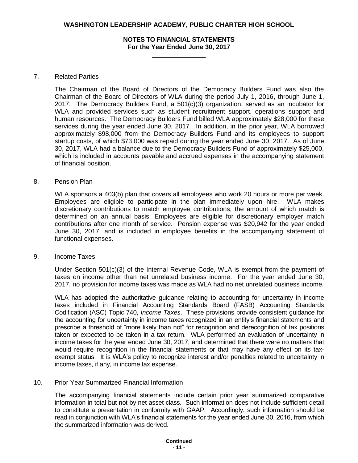## **NOTES TO FINANCIAL STATEMENTS For the Year Ended June 30, 2017**

\_\_\_\_\_\_\_\_\_\_\_\_\_\_\_

#### 7. Related Parties

The Chairman of the Board of Directors of the Democracy Builders Fund was also the Chairman of the Board of Directors of WLA during the period July 1, 2016, through June 1, 2017. The Democracy Builders Fund, a 501(c)(3) organization, served as an incubator for WLA and provided services such as student recruitment support, operations support and human resources. The Democracy Builders Fund billed WLA approximately \$28,000 for these services during the year ended June 30, 2017. In addition, in the prior year, WLA borrowed approximately \$98,000 from the Democracy Builders Fund and its employees to support startup costs, of which \$73,000 was repaid during the year ended June 30, 2017. As of June 30, 2017, WLA had a balance due to the Democracy Builders Fund of approximately \$25,000, which is included in accounts payable and accrued expenses in the accompanying statement of financial position.

#### 8. Pension Plan

WLA sponsors a 403(b) plan that covers all employees who work 20 hours or more per week. Employees are eligible to participate in the plan immediately upon hire. WLA makes discretionary contributions to match employee contributions, the amount of which match is determined on an annual basis. Employees are eligible for discretionary employer match contributions after one month of service. Pension expense was \$20,942 for the year ended June 30, 2017, and is included in employee benefits in the accompanying statement of functional expenses.

9. Income Taxes

Under Section 501(c)(3) of the Internal Revenue Code, WLA is exempt from the payment of taxes on income other than net unrelated business income. For the year ended June 30, 2017, no provision for income taxes was made as WLA had no net unrelated business income.

WLA has adopted the authoritative guidance relating to accounting for uncertainty in income taxes included in Financial Accounting Standards Board (FASB) Accounting Standards Codification (ASC) Topic 740, *Income Taxes*. These provisions provide consistent guidance for the accounting for uncertainty in income taxes recognized in an entity's financial statements and prescribe a threshold of "more likely than not" for recognition and derecognition of tax positions taken or expected to be taken in a tax return. WLA performed an evaluation of uncertainty in income taxes for the year ended June 30, 2017, and determined that there were no matters that would require recognition in the financial statements or that may have any effect on its taxexempt status. It is WLA's policy to recognize interest and/or penalties related to uncertainty in income taxes, if any, in income tax expense.

10. Prior Year Summarized Financial Information

The accompanying financial statements include certain prior year summarized comparative information in total but not by net asset class. Such information does not include sufficient detail to constitute a presentation in conformity with GAAP. Accordingly, such information should be read in conjunction with WLA's financial statements for the year ended June 30, 2016, from which the summarized information was derived.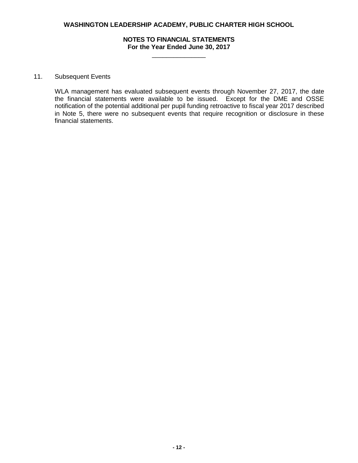## **NOTES TO FINANCIAL STATEMENTS For the Year Ended June 30, 2017**

\_\_\_\_\_\_\_\_\_\_\_\_\_\_\_

#### 11. Subsequent Events

WLA management has evaluated subsequent events through November 27, 2017, the date the financial statements were available to be issued. Except for the DME and OSSE notification of the potential additional per pupil funding retroactive to fiscal year 2017 described in Note 5, there were no subsequent events that require recognition or disclosure in these financial statements.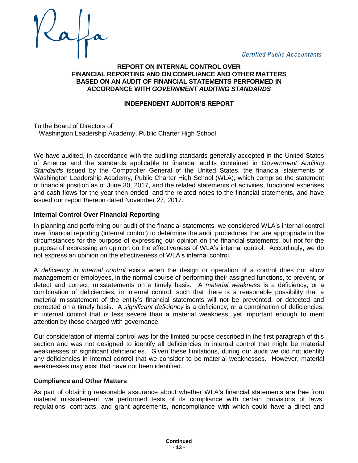## **REPORT ON INTERNAL CONTROL OVER FINANCIAL REPORTING AND ON COMPLIANCE AND OTHER MATTERS BASED ON AN AUDIT OF FINANCIAL STATEMENTS PERFORMED IN ACCORDANCE WITH** *GOVERNMENT AUDITING STANDARDS*

## **INDEPENDENT AUDITOR'S REPORT**

To the Board of Directors of Washington Leadership Academy, Public Charter High School

We have audited, in accordance with the auditing standards generally accepted in the United States of America and the standards applicable to financial audits contained in *Government Auditing Standards* issued by the Comptroller General of the United States, the financial statements of Washington Leadership Academy, Public Charter High School (WLA), which comprise the statement of financial position as of June 30, 2017, and the related statements of activities, functional expenses and cash flows for the year then ended, and the related notes to the financial statements, and have issued our report thereon dated November 27, 2017.

## **Internal Control Over Financial Reporting**

In planning and performing our audit of the financial statements, we considered WLA's internal control over financial reporting (internal control) to determine the audit procedures that are appropriate in the circumstances for the purpose of expressing our opinion on the financial statements, but not for the purpose of expressing an opinion on the effectiveness of WLA's internal control. Accordingly, we do not express an opinion on the effectiveness of WLA's internal control.

A *deficiency in internal control* exists when the design or operation of a control does not allow management or employees, in the normal course of performing their assigned functions, to prevent, or detect and correct, misstatements on a timely basis. A *material weakness* is a deficiency, or a combination of deficiencies, in internal control, such that there is a reasonable possibility that a material misstatement of the entity's financial statements will not be prevented, or detected and corrected on a timely basis. A *significant deficiency* is a deficiency, or a combination of deficiencies, in internal control that is less severe than a material weakness, yet important enough to merit attention by those charged with governance.

Our consideration of internal control was for the limited purpose described in the first paragraph of this section and was not designed to identify all deficiencies in internal control that might be material weaknesses or significant deficiencies. Given these limitations, during our audit we did not identify any deficiencies in internal control that we consider to be material weaknesses. However, material weaknesses may exist that have not been identified.

## **Compliance and Other Matters**

As part of obtaining reasonable assurance about whether WLA's financial statements are free from material misstatement, we performed tests of its compliance with certain provisions of laws, regulations, contracts, and grant agreements, noncompliance with which could have a direct and